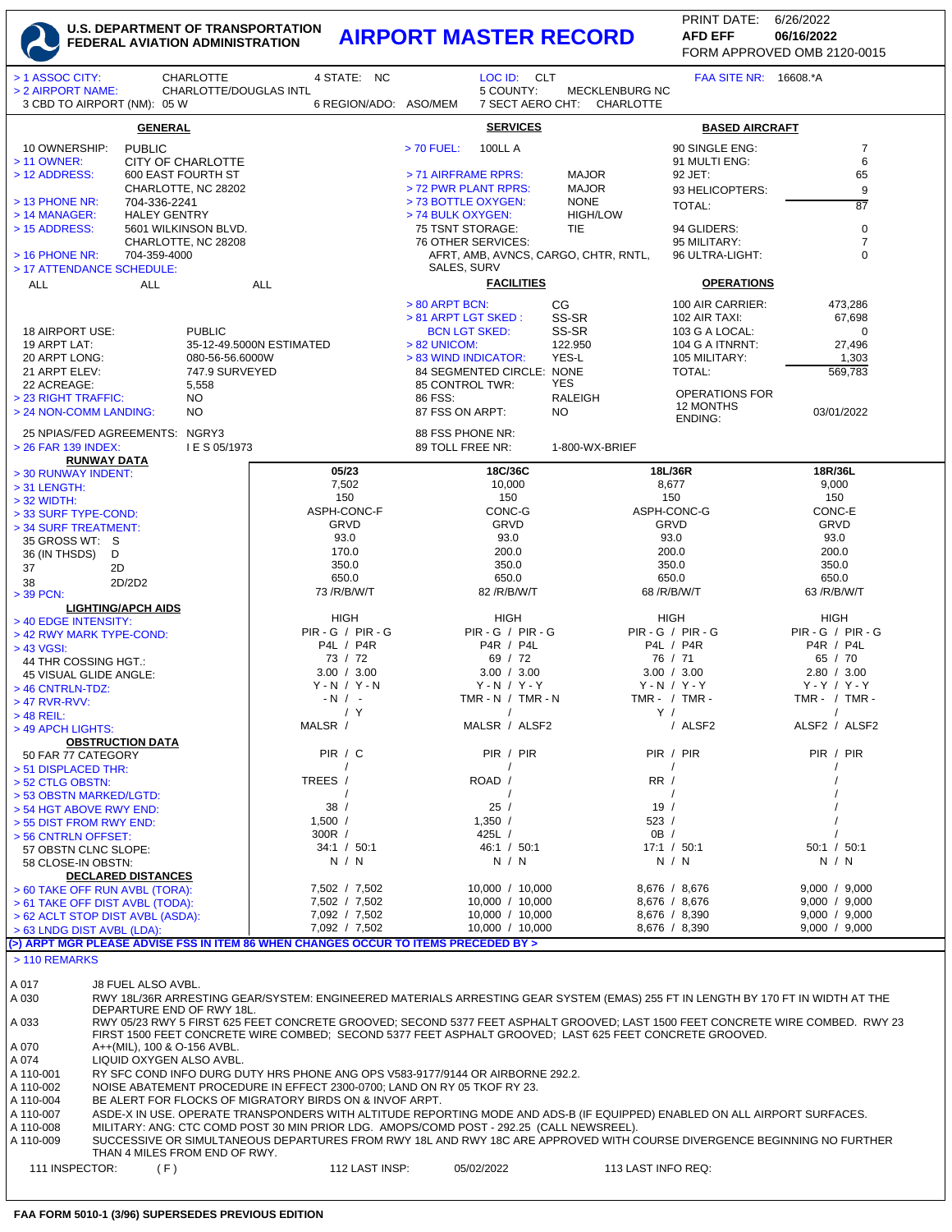## **U.S. DEPARTMENT OF TRANSPORTATION FEDERAL AVIATION ADMINISTRATION AIRPORT MASTER RECORD AFD EFF 06/16/2022**

FORM APPROVED OMB 2120-0015 PRINT DATE: 6/26/2022 **AFD EFF**

| > 1 ASSOC CITY:                                                                                                                                                                                                                               |                                                                                                                                                             | <b>CHARLOTTE</b>              | 4 STATE: NC                                                                                                                     |                                             | LOC ID: CLT                        |                                      |                                | <b>FAA SITE NR: 16608.*A</b>      |                                |                   |
|-----------------------------------------------------------------------------------------------------------------------------------------------------------------------------------------------------------------------------------------------|-------------------------------------------------------------------------------------------------------------------------------------------------------------|-------------------------------|---------------------------------------------------------------------------------------------------------------------------------|---------------------------------------------|------------------------------------|--------------------------------------|--------------------------------|-----------------------------------|--------------------------------|-------------------|
| > 2 AIRPORT NAME:                                                                                                                                                                                                                             |                                                                                                                                                             | CHARLOTTE/DOUGLAS INTL        |                                                                                                                                 |                                             | 5 COUNTY:                          | <b>MECKLENBURG NC</b>                |                                |                                   |                                |                   |
| 3 CBD TO AIRPORT (NM): 05 W                                                                                                                                                                                                                   |                                                                                                                                                             |                               | 6 REGION/ADO: ASO/MEM                                                                                                           |                                             | 7 SECT AERO CHT:                   | CHARLOTTE                            |                                |                                   |                                |                   |
|                                                                                                                                                                                                                                               | <b>GENERAL</b>                                                                                                                                              |                               |                                                                                                                                 |                                             | <b>SERVICES</b>                    |                                      |                                | <b>BASED AIRCRAFT</b>             |                                |                   |
| 10 OWNERSHIP:                                                                                                                                                                                                                                 | <b>PUBLIC</b>                                                                                                                                               |                               |                                                                                                                                 | $> 70$ FUEL:<br><b>100LL A</b>              |                                    |                                      |                                | 90 SINGLE ENG:                    |                                | $\overline{7}$    |
| > 11 OWNER:                                                                                                                                                                                                                                   |                                                                                                                                                             | CITY OF CHARLOTTE             |                                                                                                                                 |                                             |                                    |                                      |                                | 91 MULTI ENG:                     |                                | 6                 |
| > 12 ADDRESS:                                                                                                                                                                                                                                 |                                                                                                                                                             | 600 EAST FOURTH ST            |                                                                                                                                 | > 71 AIRFRAME RPRS:                         |                                    | <b>MAJOR</b>                         | 92 JET:                        |                                   |                                | 65                |
| > 13 PHONE NR:                                                                                                                                                                                                                                | 704-336-2241                                                                                                                                                | CHARLOTTE, NC 28202           |                                                                                                                                 | > 72 PWR PLANT RPRS:<br>> 73 BOTTLE OXYGEN: |                                    | <b>MAJOR</b><br><b>NONE</b>          |                                | 93 HELICOPTERS:                   |                                | 9                 |
| > 14 MANAGER:                                                                                                                                                                                                                                 | <b>HALEY GENTRY</b>                                                                                                                                         |                               |                                                                                                                                 | > 74 BULK OXYGEN:                           |                                    | <b>HIGH/LOW</b>                      | <b>TOTAL:</b>                  |                                   |                                | $\overline{87}$   |
| > 15 ADDRESS:                                                                                                                                                                                                                                 |                                                                                                                                                             | 5601 WILKINSON BLVD.          |                                                                                                                                 | 75 TSNT STORAGE:                            |                                    | <b>TIE</b>                           |                                | 94 GLIDERS:                       |                                | $\pmb{0}$         |
|                                                                                                                                                                                                                                               |                                                                                                                                                             | CHARLOTTE, NC 28208           |                                                                                                                                 | 76 OTHER SERVICES:                          |                                    |                                      |                                | 95 MILITARY:                      |                                | $\overline{7}$    |
| $>$ 16 PHONE NR:<br>> 17 ATTENDANCE SCHEDULE:                                                                                                                                                                                                 | 704-359-4000                                                                                                                                                |                               |                                                                                                                                 | SALES, SURV                                 |                                    | AFRT, AMB, AVNCS, CARGO, CHTR, RNTL, |                                | 96 ULTRA-LIGHT:                   |                                | $\mathbf 0$       |
| <b>ALL</b>                                                                                                                                                                                                                                    | <b>ALL</b>                                                                                                                                                  |                               | <b>ALL</b>                                                                                                                      |                                             | <b>FACILITIES</b>                  |                                      |                                | <b>OPERATIONS</b>                 |                                |                   |
|                                                                                                                                                                                                                                               |                                                                                                                                                             |                               |                                                                                                                                 |                                             |                                    |                                      |                                |                                   |                                |                   |
|                                                                                                                                                                                                                                               |                                                                                                                                                             |                               |                                                                                                                                 | > 80 ARPT BCN:<br>> 81 ARPT LGT SKED:       |                                    | CG<br>SS-SR                          |                                | 100 AIR CARRIER:<br>102 AIR TAXI: |                                | 473,286<br>67,698 |
| 18 AIRPORT USE:                                                                                                                                                                                                                               |                                                                                                                                                             | <b>PUBLIC</b>                 |                                                                                                                                 | <b>BCN LGT SKED:</b>                        |                                    | SS-SR                                |                                | 103 G A LOCAL:                    |                                | 0                 |
| 19 ARPT LAT:                                                                                                                                                                                                                                  |                                                                                                                                                             |                               | 35-12-49.5000N ESTIMATED                                                                                                        | > 82 UNICOM:                                |                                    | 122.950                              |                                | 104 G A ITNRNT:                   |                                | 27,496            |
| 20 ARPT LONG:                                                                                                                                                                                                                                 |                                                                                                                                                             | 080-56-56.6000W               |                                                                                                                                 | > 83 WIND INDICATOR:                        |                                    | YES-L                                |                                | 105 MILITARY:                     |                                | 1,303             |
| 21 ARPT ELEV:                                                                                                                                                                                                                                 |                                                                                                                                                             | 747.9 SURVEYED                |                                                                                                                                 | 84 SEGMENTED CIRCLE: NONE                   |                                    | YES                                  | TOTAL:                         |                                   |                                | 569,783           |
| 22 ACREAGE:<br>> 23 RIGHT TRAFFIC:                                                                                                                                                                                                            |                                                                                                                                                             | 5,558<br>NO.                  |                                                                                                                                 | 85 CONTROL TWR:<br>86 FSS:                  |                                    | <b>RALEIGH</b>                       |                                | <b>OPERATIONS FOR</b>             |                                |                   |
| > 24 NON-COMM LANDING:                                                                                                                                                                                                                        |                                                                                                                                                             | NO                            |                                                                                                                                 | 87 FSS ON ARPT:                             |                                    | <b>NO</b>                            |                                | 12 MONTHS                         | 03/01/2022                     |                   |
|                                                                                                                                                                                                                                               |                                                                                                                                                             |                               |                                                                                                                                 |                                             |                                    |                                      | <b>ENDING:</b>                 |                                   |                                |                   |
| 25 NPIAS/FED AGREEMENTS: NGRY3<br>> 26 FAR 139 INDEX:                                                                                                                                                                                         |                                                                                                                                                             | I E S 05/1973                 |                                                                                                                                 | 88 FSS PHONE NR:<br>89 TOLL FREE NR:        |                                    | 1-800-WX-BRIEF                       |                                |                                   |                                |                   |
| <b>RUNWAY DATA</b>                                                                                                                                                                                                                            |                                                                                                                                                             |                               |                                                                                                                                 |                                             |                                    |                                      |                                |                                   |                                |                   |
| > 30 RUNWAY INDENT:                                                                                                                                                                                                                           |                                                                                                                                                             |                               | 05/23                                                                                                                           |                                             | 18C/36C                            |                                      | 18L/36R                        |                                   | 18R/36L                        |                   |
| $>$ 31 LENGTH:                                                                                                                                                                                                                                |                                                                                                                                                             |                               | 7,502                                                                                                                           |                                             | 10,000                             |                                      | 8,677                          |                                   | 9,000                          |                   |
| $>$ 32 WIDTH:                                                                                                                                                                                                                                 |                                                                                                                                                             |                               | 150<br>ASPH-CONC-F                                                                                                              |                                             | 150<br>CONC-G                      |                                      | 150<br>ASPH-CONC-G             |                                   | 150<br>CONC-E                  |                   |
| > 33 SURF TYPE-COND:<br>> 34 SURF TREATMENT:                                                                                                                                                                                                  |                                                                                                                                                             |                               | GRVD                                                                                                                            |                                             | GRVD                               |                                      | GRVD                           |                                   | <b>GRVD</b>                    |                   |
| 35 GROSS WT: S                                                                                                                                                                                                                                |                                                                                                                                                             |                               | 93.0                                                                                                                            |                                             | 93.0                               |                                      | 93.0                           |                                   | 93.0                           |                   |
| 36 (IN THSDS)<br>D                                                                                                                                                                                                                            |                                                                                                                                                             |                               | 170.0                                                                                                                           |                                             | 200.0                              |                                      | 200.0                          |                                   | 200.0                          |                   |
| 37<br>2D                                                                                                                                                                                                                                      |                                                                                                                                                             |                               | 350.0                                                                                                                           |                                             | 350.0                              |                                      | 350.0                          |                                   | 350.0                          |                   |
| 38                                                                                                                                                                                                                                            | 2D/2D2                                                                                                                                                      |                               | 650.0<br>73 / R/ B/ W/ T                                                                                                        |                                             | 650.0<br>82 / R/ B/ W/ T           |                                      | 650.0<br>68 / R/ B/ W/ T       |                                   | 650.0<br>63 / R/ B/ W/ T       |                   |
| > 39 PCN:<br><b>LIGHTING/APCH AIDS</b>                                                                                                                                                                                                        |                                                                                                                                                             |                               |                                                                                                                                 |                                             |                                    |                                      |                                |                                   |                                |                   |
| > 40 EDGE INTENSITY:                                                                                                                                                                                                                          |                                                                                                                                                             |                               | HIGH                                                                                                                            |                                             | HIGH                               |                                      | HIGH                           |                                   | HIGH                           |                   |
| > 42 RWY MARK TYPE-COND:                                                                                                                                                                                                                      |                                                                                                                                                             |                               | $PIR - G / PIR - G$                                                                                                             |                                             | $PIR - G / PIR - G$                |                                      | <b>PIR - G / PIR - G</b>       |                                   | $PIR - G / PIR - G$            |                   |
| $> 43$ VGSI:                                                                                                                                                                                                                                  |                                                                                                                                                             |                               | P4L / P4R                                                                                                                       |                                             | P4R / P4L                          |                                      | P4L / P4R                      |                                   | P4R / P4L                      |                   |
| 44 THR COSSING HGT.:                                                                                                                                                                                                                          |                                                                                                                                                             |                               | 73 / 72<br>3.00 / 3.00                                                                                                          |                                             | 69 / 72<br>3.00 / 3.00             |                                      | 76 / 71<br>3.00 / 3.00         |                                   | 65 / 70<br>2.80 / 3.00         |                   |
| 45 VISUAL GLIDE ANGLE:<br>> 46 CNTRLN-TDZ:                                                                                                                                                                                                    |                                                                                                                                                             |                               | $Y - N / Y - N$                                                                                                                 |                                             | $Y - N / Y - Y$                    |                                      | $Y - N / Y - Y$                |                                   | $Y - Y / Y - Y$                |                   |
| > 47 RVR-RVV:                                                                                                                                                                                                                                 |                                                                                                                                                             |                               | $-N$ / -                                                                                                                        | TMR - N $/$ TMR - N                         |                                    |                                      | TMR - $/$ TMR -                |                                   | TMR - / TMR -                  |                   |
| $>$ 48 REIL:                                                                                                                                                                                                                                  |                                                                                                                                                             |                               | / Y                                                                                                                             |                                             | $\prime$                           |                                      | Y /                            |                                   | $\prime$                       |                   |
| > 49 APCH LIGHTS:                                                                                                                                                                                                                             |                                                                                                                                                             |                               | MALSR /                                                                                                                         |                                             | MALSR / ALSF2                      |                                      | / ALSF2                        |                                   | ALSF2 / ALSF2                  |                   |
| <b>OBSTRUCTION DATA</b>                                                                                                                                                                                                                       |                                                                                                                                                             |                               |                                                                                                                                 |                                             |                                    |                                      |                                |                                   |                                |                   |
| 50 FAR 77 CATEGORY                                                                                                                                                                                                                            |                                                                                                                                                             |                               | PIR / C<br>$\prime$                                                                                                             |                                             | PIR / PIR<br>$\prime$              |                                      | PIR / PIR<br>$\sqrt{ }$        |                                   | PIR / PIR                      |                   |
| > 51 DISPLACED THR:<br>> 52 CTLG OBSTN:                                                                                                                                                                                                       |                                                                                                                                                             |                               | TREES /                                                                                                                         | ROAD /                                      |                                    |                                      | RR/                            |                                   |                                |                   |
| > 53 OBSTN MARKED/LGTD:                                                                                                                                                                                                                       |                                                                                                                                                             |                               |                                                                                                                                 |                                             |                                    |                                      |                                |                                   |                                |                   |
| > 54 HGT ABOVE RWY END:                                                                                                                                                                                                                       |                                                                                                                                                             |                               | 38/                                                                                                                             | 25/                                         |                                    |                                      | 19/                            |                                   |                                |                   |
| > 55 DIST FROM RWY END:                                                                                                                                                                                                                       |                                                                                                                                                             |                               | 1,500 /                                                                                                                         | 1,350 /                                     |                                    |                                      | 523/                           |                                   |                                |                   |
| > 56 CNTRLN OFFSET:<br>57 OBSTN CLNC SLOPE:                                                                                                                                                                                                   |                                                                                                                                                             |                               | $300R$ /<br>34:1 / 50:1                                                                                                         | 425L $/$                                    | 46:1 / 50:1                        |                                      | OB /<br>17:1 / 50:1            |                                   | 50:1 / 50:1                    |                   |
| 58 CLOSE-IN OBSTN:                                                                                                                                                                                                                            |                                                                                                                                                             |                               | N / N                                                                                                                           |                                             | N / N                              |                                      | N / N                          |                                   | N / N                          |                   |
| <b>DECLARED DISTANCES</b>                                                                                                                                                                                                                     |                                                                                                                                                             |                               |                                                                                                                                 |                                             |                                    |                                      |                                |                                   |                                |                   |
| > 60 TAKE OFF RUN AVBL (TORA):                                                                                                                                                                                                                |                                                                                                                                                             |                               | 7,502 / 7,502                                                                                                                   |                                             | 10,000 / 10,000                    |                                      | 8,676 / 8,676                  |                                   | 9,000 / 9,000                  |                   |
| > 61 TAKE OFF DIST AVBL (TODA):                                                                                                                                                                                                               |                                                                                                                                                             |                               | 7,502 / 7,502<br>7,092 / 7,502                                                                                                  |                                             | 10,000 / 10,000                    |                                      | 8,676 / 8,676                  |                                   | 9,000 / 9,000<br>9,000 / 9,000 |                   |
| > 62 ACLT STOP DIST AVBL (ASDA):<br>> 63 LNDG DIST AVBL (LDA):                                                                                                                                                                                |                                                                                                                                                             |                               | 7,092 / 7,502                                                                                                                   |                                             | 10,000 / 10,000<br>10,000 / 10,000 |                                      | 8,676 / 8,390<br>8,676 / 8,390 |                                   | 9,000 / 9,000                  |                   |
|                                                                                                                                                                                                                                               |                                                                                                                                                             |                               | (>) ARPT MGR PLEASE ADVISE FSS IN ITEM 86 WHEN CHANGES OCCUR TO ITEMS PRECEDED BY >                                             |                                             |                                    |                                      |                                |                                   |                                |                   |
| > 110 REMARKS                                                                                                                                                                                                                                 |                                                                                                                                                             |                               |                                                                                                                                 |                                             |                                    |                                      |                                |                                   |                                |                   |
|                                                                                                                                                                                                                                               |                                                                                                                                                             |                               |                                                                                                                                 |                                             |                                    |                                      |                                |                                   |                                |                   |
| A 017                                                                                                                                                                                                                                         | <b>J8 FUEL ALSO AVBL.</b>                                                                                                                                   |                               |                                                                                                                                 |                                             |                                    |                                      |                                |                                   |                                |                   |
| A 030                                                                                                                                                                                                                                         |                                                                                                                                                             |                               | RWY 18L/36R ARRESTING GEAR/SYSTEM: ENGINEERED MATERIALS ARRESTING GEAR SYSTEM (EMAS) 255 FT IN LENGTH BY 170 FT IN WIDTH AT THE |                                             |                                    |                                      |                                |                                   |                                |                   |
| A 033                                                                                                                                                                                                                                         | DEPARTURE END OF RWY 18L.<br>RWY 05/23 RWY 5 FIRST 625 FEET CONCRETE GROOVED; SECOND 5377 FEET ASPHALT GROOVED; LAST 1500 FEET CONCRETE WIRE COMBED. RWY 23 |                               |                                                                                                                                 |                                             |                                    |                                      |                                |                                   |                                |                   |
| FIRST 1500 FEET CONCRETE WIRE COMBED: SECOND 5377 FEET ASPHALT GROOVED; LAST 625 FEET CONCRETE GROOVED.                                                                                                                                       |                                                                                                                                                             |                               |                                                                                                                                 |                                             |                                    |                                      |                                |                                   |                                |                   |
| A++(MIL), 100 & O-156 AVBL.<br>A 070<br>LIQUID OXYGEN ALSO AVBL.<br>A 074                                                                                                                                                                     |                                                                                                                                                             |                               |                                                                                                                                 |                                             |                                    |                                      |                                |                                   |                                |                   |
| RY SFC COND INFO DURG DUTY HRS PHONE ANG OPS V583-9177/9144 OR AIRBORNE 292.2.<br>A 110-001                                                                                                                                                   |                                                                                                                                                             |                               |                                                                                                                                 |                                             |                                    |                                      |                                |                                   |                                |                   |
| A 110-002                                                                                                                                                                                                                                     | NOISE ABATEMENT PROCEDURE IN EFFECT 2300-0700; LAND ON RY 05 TKOF RY 23.                                                                                    |                               |                                                                                                                                 |                                             |                                    |                                      |                                |                                   |                                |                   |
| A 110-004                                                                                                                                                                                                                                     | BE ALERT FOR FLOCKS OF MIGRATORY BIRDS ON & INVOF ARPT.                                                                                                     |                               |                                                                                                                                 |                                             |                                    |                                      |                                |                                   |                                |                   |
| A 110-007                                                                                                                                                                                                                                     | ASDE-X IN USE. OPERATE TRANSPONDERS WITH ALTITUDE REPORTING MODE AND ADS-B (IF EQUIPPED) ENABLED ON ALL AIRPORT SURFACES.                                   |                               |                                                                                                                                 |                                             |                                    |                                      |                                |                                   |                                |                   |
| MILITARY: ANG: CTC COMD POST 30 MIN PRIOR LDG. AMOPS/COMD POST - 292.25 (CALL NEWSREEL).<br>A 110-008<br>A 110-009<br>SUCCESSIVE OR SIMULTANEOUS DEPARTURES FROM RWY 18L AND RWY 18C ARE APPROVED WITH COURSE DIVERGENCE BEGINNING NO FURTHER |                                                                                                                                                             |                               |                                                                                                                                 |                                             |                                    |                                      |                                |                                   |                                |                   |
|                                                                                                                                                                                                                                               |                                                                                                                                                             | THAN 4 MILES FROM END OF RWY. |                                                                                                                                 |                                             |                                    |                                      |                                |                                   |                                |                   |
| 111 INSPECTOR:                                                                                                                                                                                                                                | (F)                                                                                                                                                         |                               | 112 LAST INSP:                                                                                                                  | 05/02/2022                                  |                                    |                                      | 113 LAST INFO REQ:             |                                   |                                |                   |
|                                                                                                                                                                                                                                               |                                                                                                                                                             |                               |                                                                                                                                 |                                             |                                    |                                      |                                |                                   |                                |                   |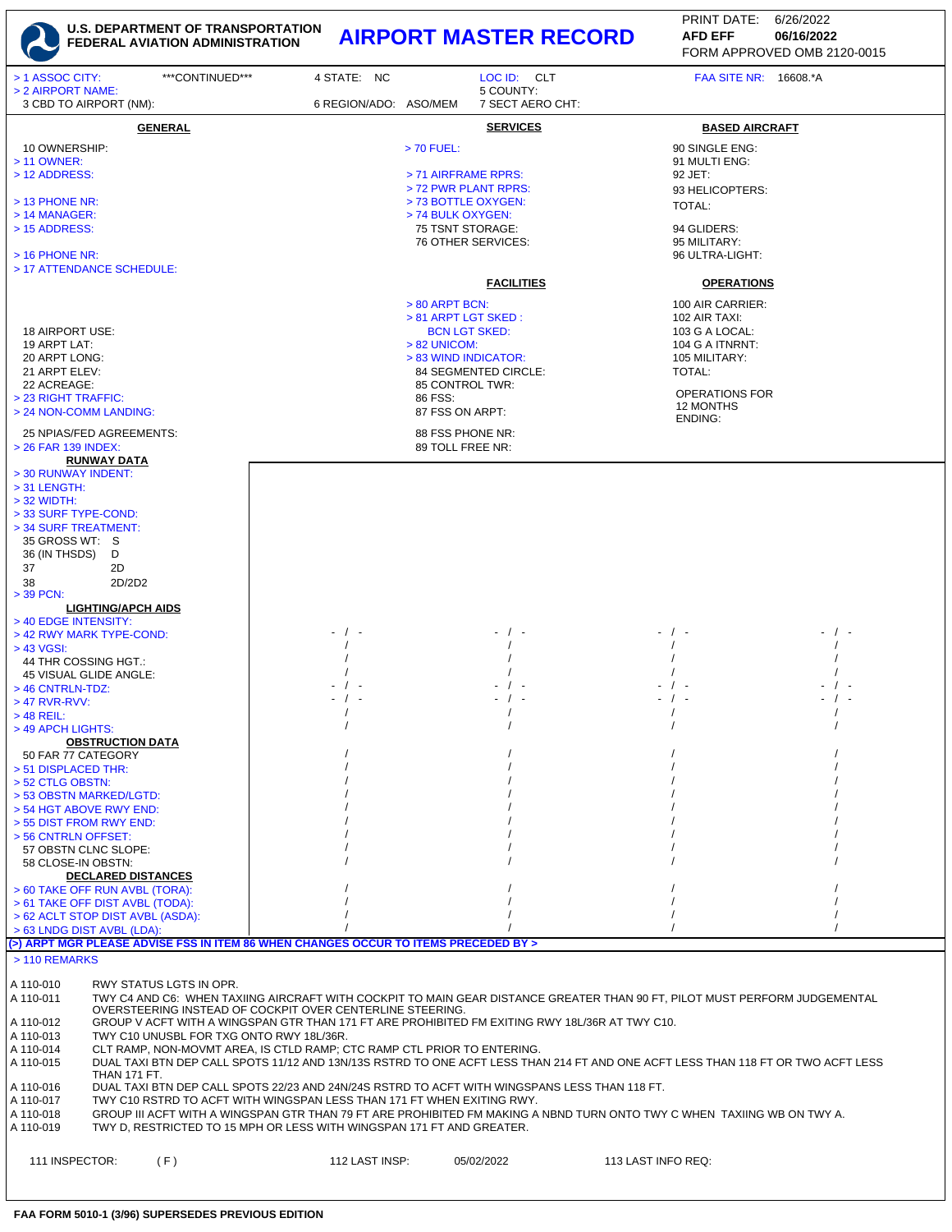

## **U.S. DEPARTMENT OF TRANSPORTATION FEDERAL AVIATION ADMINISTRATION AIRPORT MASTER RECORD AFD EFF 06/16/2022**

FORM APPROVED OMB 2120-0015 PRINT DATE: 6/26/2022 **AFD EFF**

| > 1 ASSOC CITY:<br>***CONTINUED***<br>> 2 AIRPORT NAME:                                                                                                                                                        | 4 STATE: NC           | LOC ID: CLT<br>5 COUNTY:                 | <b>FAA SITE NR: 16608.*A</b>                                                                                               |  |  |  |  |
|----------------------------------------------------------------------------------------------------------------------------------------------------------------------------------------------------------------|-----------------------|------------------------------------------|----------------------------------------------------------------------------------------------------------------------------|--|--|--|--|
| 3 CBD TO AIRPORT (NM):                                                                                                                                                                                         | 6 REGION/ADO: ASO/MEM | 7 SECT AERO CHT:                         |                                                                                                                            |  |  |  |  |
| <b>GENERAL</b>                                                                                                                                                                                                 |                       | <b>SERVICES</b>                          | <b>BASED AIRCRAFT</b>                                                                                                      |  |  |  |  |
| 10 OWNERSHIP:                                                                                                                                                                                                  |                       | > 70 FUEL:                               | 90 SINGLE ENG:                                                                                                             |  |  |  |  |
| > 11 OWNER:<br>> 12 ADDRESS:                                                                                                                                                                                   |                       | > 71 AIRFRAME RPRS:                      | 91 MULTI ENG:<br>92 JET:                                                                                                   |  |  |  |  |
|                                                                                                                                                                                                                |                       | > 72 PWR PLANT RPRS:                     | 93 HELICOPTERS:                                                                                                            |  |  |  |  |
| > 13 PHONE NR:<br>$>$ 14 MANAGER:                                                                                                                                                                              |                       | > 73 BOTTLE OXYGEN:<br>> 74 BULK OXYGEN: | TOTAL:                                                                                                                     |  |  |  |  |
| > 15 ADDRESS:                                                                                                                                                                                                  |                       | 75 TSNT STORAGE:                         | 94 GLIDERS:                                                                                                                |  |  |  |  |
|                                                                                                                                                                                                                |                       | 76 OTHER SERVICES:                       | 95 MILITARY:                                                                                                               |  |  |  |  |
| $>$ 16 PHONE NR:<br>> 17 ATTENDANCE SCHEDULE:                                                                                                                                                                  |                       |                                          | 96 ULTRA-LIGHT:                                                                                                            |  |  |  |  |
|                                                                                                                                                                                                                |                       | <b>FACILITIES</b>                        | <b>OPERATIONS</b>                                                                                                          |  |  |  |  |
|                                                                                                                                                                                                                |                       | $> 80$ ARPT BCN:                         | 100 AIR CARRIER:                                                                                                           |  |  |  |  |
|                                                                                                                                                                                                                |                       | > 81 ARPT LGT SKED:                      | 102 AIR TAXI:                                                                                                              |  |  |  |  |
| 18 AIRPORT USE:<br>19 ARPT LAT:                                                                                                                                                                                |                       | <b>BCN LGT SKED:</b><br>$> 82$ UNICOM:   | 103 G A LOCAL:<br>104 G A ITNRNT:                                                                                          |  |  |  |  |
| 20 ARPT LONG:                                                                                                                                                                                                  |                       | > 83 WIND INDICATOR:                     | 105 MILITARY:                                                                                                              |  |  |  |  |
| 21 ARPT ELEV:<br>22 ACREAGE:                                                                                                                                                                                   |                       | 84 SEGMENTED CIRCLE:<br>85 CONTROL TWR:  | TOTAL:                                                                                                                     |  |  |  |  |
| > 23 RIGHT TRAFFIC:                                                                                                                                                                                            |                       | 86 FSS:                                  | <b>OPERATIONS FOR</b>                                                                                                      |  |  |  |  |
| > 24 NON-COMM LANDING:                                                                                                                                                                                         |                       | 87 FSS ON ARPT:                          | 12 MONTHS<br>ENDING:                                                                                                       |  |  |  |  |
| 25 NPIAS/FED AGREEMENTS:                                                                                                                                                                                       |                       | 88 FSS PHONE NR:                         |                                                                                                                            |  |  |  |  |
| > 26 FAR 139 INDEX:<br><b>RUNWAY DATA</b>                                                                                                                                                                      |                       | 89 TOLL FREE NR:                         |                                                                                                                            |  |  |  |  |
| > 30 RUNWAY INDENT:                                                                                                                                                                                            |                       |                                          |                                                                                                                            |  |  |  |  |
| $>$ 31 LENGTH:<br>$>$ 32 WIDTH:                                                                                                                                                                                |                       |                                          |                                                                                                                            |  |  |  |  |
| > 33 SURF TYPE-COND:                                                                                                                                                                                           |                       |                                          |                                                                                                                            |  |  |  |  |
| > 34 SURF TREATMENT:                                                                                                                                                                                           |                       |                                          |                                                                                                                            |  |  |  |  |
| 35 GROSS WT: S<br>36 (IN THSDS)<br>D                                                                                                                                                                           |                       |                                          |                                                                                                                            |  |  |  |  |
| 37<br>2D                                                                                                                                                                                                       |                       |                                          |                                                                                                                            |  |  |  |  |
| 2D/2D2<br>38<br>> 39 PCN:                                                                                                                                                                                      |                       |                                          |                                                                                                                            |  |  |  |  |
| <b>LIGHTING/APCH AIDS</b>                                                                                                                                                                                      |                       |                                          |                                                                                                                            |  |  |  |  |
| > 40 EDGE INTENSITY:                                                                                                                                                                                           | $-$ / $-$             |                                          |                                                                                                                            |  |  |  |  |
| > 42 RWY MARK TYPE-COND:<br>> 43 VGSI:                                                                                                                                                                         |                       |                                          |                                                                                                                            |  |  |  |  |
| 44 THR COSSING HGT.:                                                                                                                                                                                           |                       |                                          |                                                                                                                            |  |  |  |  |
| 45 VISUAL GLIDE ANGLE:<br>> 46 CNTRLN-TDZ:                                                                                                                                                                     | $\sqrt{ }$            |                                          |                                                                                                                            |  |  |  |  |
| $>$ 47 RVR-RVV:                                                                                                                                                                                                | - / -                 |                                          |                                                                                                                            |  |  |  |  |
| $>$ 48 REIL:                                                                                                                                                                                                   |                       |                                          |                                                                                                                            |  |  |  |  |
| > 49 APCH LIGHTS:<br><b>OBSTRUCTION DATA</b>                                                                                                                                                                   |                       |                                          |                                                                                                                            |  |  |  |  |
| 50 FAR 77 CATEGORY                                                                                                                                                                                             |                       |                                          |                                                                                                                            |  |  |  |  |
| > 51 DISPLACED THR:<br>> 52 CTLG OBSTN:                                                                                                                                                                        |                       |                                          |                                                                                                                            |  |  |  |  |
| > 53 OBSTN MARKED/LGTD:                                                                                                                                                                                        |                       |                                          |                                                                                                                            |  |  |  |  |
| > 54 HGT ABOVE RWY END:<br>> 55 DIST FROM RWY END:                                                                                                                                                             |                       |                                          |                                                                                                                            |  |  |  |  |
| > 56 CNTRLN OFFSET:                                                                                                                                                                                            |                       |                                          |                                                                                                                            |  |  |  |  |
| 57 OBSTN CLNC SLOPE:                                                                                                                                                                                           |                       |                                          |                                                                                                                            |  |  |  |  |
| 58 CLOSE-IN OBSTN:<br><b>DECLARED DISTANCES</b>                                                                                                                                                                |                       |                                          |                                                                                                                            |  |  |  |  |
| > 60 TAKE OFF RUN AVBL (TORA):                                                                                                                                                                                 |                       |                                          |                                                                                                                            |  |  |  |  |
| > 61 TAKE OFF DIST AVBL (TODA):<br>> 62 ACLT STOP DIST AVBL (ASDA):                                                                                                                                            |                       |                                          |                                                                                                                            |  |  |  |  |
| > 63 LNDG DIST AVBL (LDA):                                                                                                                                                                                     |                       |                                          |                                                                                                                            |  |  |  |  |
| (>) ARPT MGR PLEASE ADVISE FSS IN ITEM 86 WHEN CHANGES OCCUR TO ITEMS PRECEDED BY ><br>> 110 REMARKS                                                                                                           |                       |                                          |                                                                                                                            |  |  |  |  |
|                                                                                                                                                                                                                |                       |                                          |                                                                                                                            |  |  |  |  |
| RWY STATUS LGTS IN OPR.<br>A 110-010<br>A 110-011                                                                                                                                                              |                       |                                          | TWY C4 AND C6: WHEN TAXIING AIRCRAFT WITH COCKPIT TO MAIN GEAR DISTANCE GREATER THAN 90 FT, PILOT MUST PERFORM JUDGEMENTAL |  |  |  |  |
| OVERSTEERING INSTEAD OF COCKPIT OVER CENTERLINE STEERING.                                                                                                                                                      |                       |                                          |                                                                                                                            |  |  |  |  |
| GROUP V ACFT WITH A WINGSPAN GTR THAN 171 FT ARE PROHIBITED FM EXITING RWY 18L/36R AT TWY C10.<br>A 110-012                                                                                                    |                       |                                          |                                                                                                                            |  |  |  |  |
| TWY C10 UNUSBL FOR TXG ONTO RWY 18L/36R.<br>A 110-013<br>A 110-014<br>CLT RAMP, NON-MOVMT AREA, IS CTLD RAMP; CTC RAMP CTL PRIOR TO ENTERING.                                                                  |                       |                                          |                                                                                                                            |  |  |  |  |
| A 110-015<br>DUAL TAXI BTN DEP CALL SPOTS 11/12 AND 13N/13S RSTRD TO ONE ACFT LESS THAN 214 FT AND ONE ACFT LESS THAN 118 FT OR TWO ACFT LESS                                                                  |                       |                                          |                                                                                                                            |  |  |  |  |
| <b>THAN 171 FT.</b><br>DUAL TAXI BTN DEP CALL SPOTS 22/23 AND 24N/24S RSTRD TO ACFT WITH WINGSPANS LESS THAN 118 FT.<br>A 110-016                                                                              |                       |                                          |                                                                                                                            |  |  |  |  |
| A 110-017<br>TWY C10 RSTRD TO ACFT WITH WINGSPAN LESS THAN 171 FT WHEN EXITING RWY.<br>GROUP III ACFT WITH A WINGSPAN GTR THAN 79 FT ARE PROHIBITED FM MAKING A NBND TURN ONTO TWY C WHEN TAXIING WB ON TWY A. |                       |                                          |                                                                                                                            |  |  |  |  |
| A 110-018<br>A 110-019<br>TWY D, RESTRICTED TO 15 MPH OR LESS WITH WINGSPAN 171 FT AND GREATER.                                                                                                                |                       |                                          |                                                                                                                            |  |  |  |  |
|                                                                                                                                                                                                                |                       |                                          |                                                                                                                            |  |  |  |  |
| 111 INSPECTOR:<br>(F)                                                                                                                                                                                          | 112 LAST INSP:        | 05/02/2022                               | 113 LAST INFO REQ:                                                                                                         |  |  |  |  |
|                                                                                                                                                                                                                |                       |                                          |                                                                                                                            |  |  |  |  |